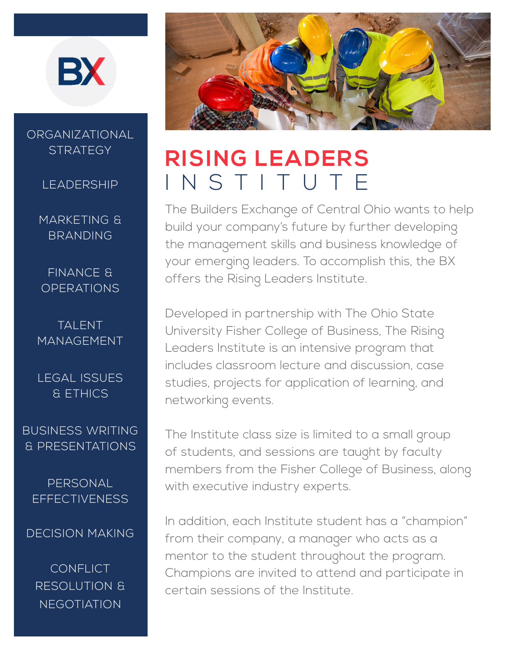

### ORGANIZATIONAL **STRATEGY**

LEADERSHIP

MARKETING & BRANDING

FINANCE & **OPERATIONS** 

TALENT MANAGEMENT

LEGAL ISSUES & ETHICS

BUSINESS WRITING & PRESENTATIONS

PERSONAL **EFFECTIVENESS** 

DECISION MAKING

**CONFLICT** RESOLUTION & **NEGOTIATION** 



# **RISING LEADERS**  INSTITUTE

The Builders Exchange of Central Ohio wants to help build your company's future by further developing the management skills and business knowledge of your emerging leaders. To accomplish this, the BX offers the Rising Leaders Institute.

Developed in partnership with The Ohio State University Fisher College of Business, The Rising Leaders Institute is an intensive program that includes classroom lecture and discussion, case studies, projects for application of learning, and networking events.

The Institute class size is limited to a small group of students, and sessions are taught by faculty members from the Fisher College of Business, along with executive industry experts.

In addition, each Institute student has a "champion" from their company, a manager who acts as a mentor to the student throughout the program. Champions are invited to attend and participate in certain sessions of the Institute.